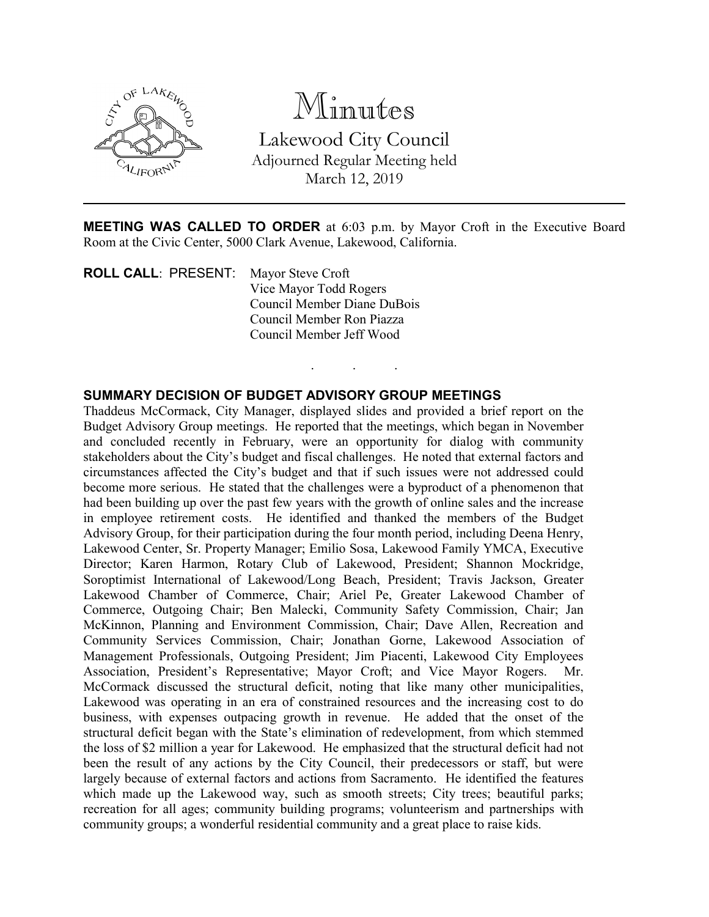

Minutes Lakewood City Council Adjourned Regular Meeting held March 12, 2019

**MEETING WAS CALLED TO ORDER** at 6:03 p.m. by Mayor Croft in the Executive Board Room at the Civic Center, 5000 Clark Avenue, Lakewood, California.

. . .

**ROLL CALL**: PRESENT: Mayor Steve Croft Vice Mayor Todd Rogers Council Member Diane DuBois Council Member Ron Piazza Council Member Jeff Wood

## **SUMMARY DECISION OF BUDGET ADVISORY GROUP MEETINGS**

Thaddeus McCormack, City Manager, displayed slides and provided a brief report on the Budget Advisory Group meetings. He reported that the meetings, which began in November and concluded recently in February, were an opportunity for dialog with community stakeholders about the City's budget and fiscal challenges. He noted that external factors and circumstances affected the City's budget and that if such issues were not addressed could become more serious. He stated that the challenges were a byproduct of a phenomenon that had been building up over the past few years with the growth of online sales and the increase in employee retirement costs. He identified and thanked the members of the Budget Advisory Group, for their participation during the four month period, including Deena Henry, Lakewood Center, Sr. Property Manager; Emilio Sosa, Lakewood Family YMCA, Executive Director; Karen Harmon, Rotary Club of Lakewood, President; Shannon Mockridge, Soroptimist International of Lakewood/Long Beach, President; Travis Jackson, Greater Lakewood Chamber of Commerce, Chair; Ariel Pe, Greater Lakewood Chamber of Commerce, Outgoing Chair; Ben Malecki, Community Safety Commission, Chair; Jan McKinnon, Planning and Environment Commission, Chair; Dave Allen, Recreation and Community Services Commission, Chair; Jonathan Gorne, Lakewood Association of Management Professionals, Outgoing President; Jim Piacenti, Lakewood City Employees Association, President's Representative; Mayor Croft; and Vice Mayor Rogers. Mr. McCormack discussed the structural deficit, noting that like many other municipalities, Lakewood was operating in an era of constrained resources and the increasing cost to do business, with expenses outpacing growth in revenue. He added that the onset of the structural deficit began with the State's elimination of redevelopment, from which stemmed the loss of \$2 million a year for Lakewood. He emphasized that the structural deficit had not been the result of any actions by the City Council, their predecessors or staff, but were largely because of external factors and actions from Sacramento. He identified the features which made up the Lakewood way, such as smooth streets; City trees; beautiful parks; recreation for all ages; community building programs; volunteerism and partnerships with community groups; a wonderful residential community and a great place to raise kids.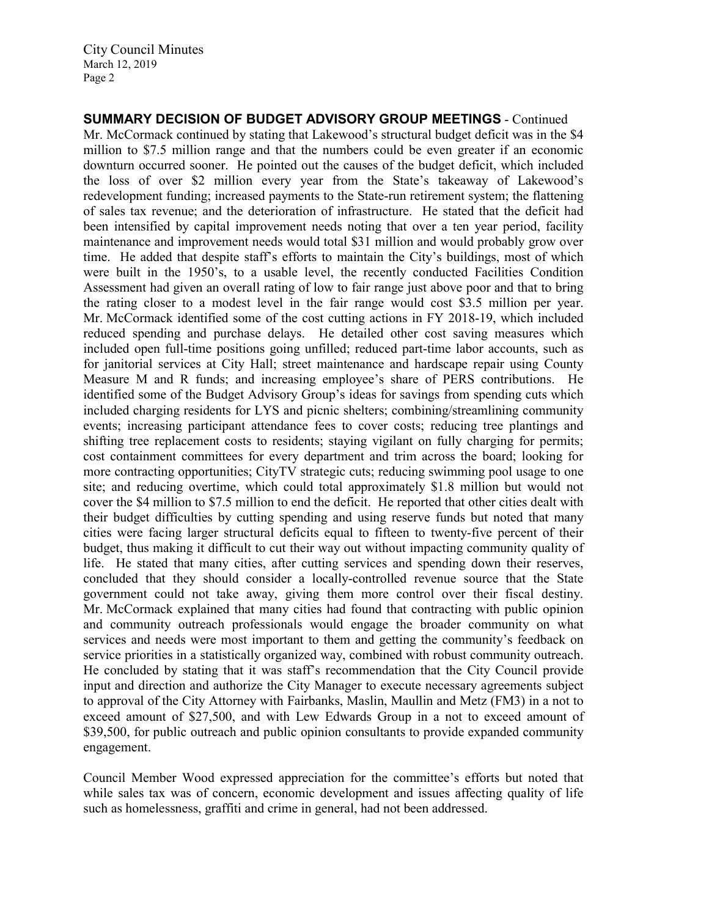**SUMMARY DECISION OF BUDGET ADVISORY GROUP MEETINGS** - Continued Mr. McCormack continued by stating that Lakewood's structural budget deficit was in the \$4 million to \$7.5 million range and that the numbers could be even greater if an economic downturn occurred sooner. He pointed out the causes of the budget deficit, which included the loss of over \$2 million every year from the State's takeaway of Lakewood's redevelopment funding; increased payments to the State-run retirement system; the flattening of sales tax revenue; and the deterioration of infrastructure. He stated that the deficit had been intensified by capital improvement needs noting that over a ten year period, facility maintenance and improvement needs would total \$31 million and would probably grow over time. He added that despite staff's efforts to maintain the City's buildings, most of which were built in the 1950's, to a usable level, the recently conducted Facilities Condition Assessment had given an overall rating of low to fair range just above poor and that to bring the rating closer to a modest level in the fair range would cost \$3.5 million per year. Mr. McCormack identified some of the cost cutting actions in FY 2018-19, which included reduced spending and purchase delays. He detailed other cost saving measures which included open full-time positions going unfilled; reduced part-time labor accounts, such as for janitorial services at City Hall; street maintenance and hardscape repair using County Measure M and R funds; and increasing employee's share of PERS contributions. He identified some of the Budget Advisory Group's ideas for savings from spending cuts which included charging residents for LYS and picnic shelters; combining/streamlining community events; increasing participant attendance fees to cover costs; reducing tree plantings and shifting tree replacement costs to residents; staying vigilant on fully charging for permits; cost containment committees for every department and trim across the board; looking for more contracting opportunities; CityTV strategic cuts; reducing swimming pool usage to one site; and reducing overtime, which could total approximately \$1.8 million but would not cover the \$4 million to \$7.5 million to end the deficit. He reported that other cities dealt with their budget difficulties by cutting spending and using reserve funds but noted that many cities were facing larger structural deficits equal to fifteen to twenty-five percent of their budget, thus making it difficult to cut their way out without impacting community quality of life. He stated that many cities, after cutting services and spending down their reserves, concluded that they should consider a locally-controlled revenue source that the State government could not take away, giving them more control over their fiscal destiny. Mr. McCormack explained that many cities had found that contracting with public opinion and community outreach professionals would engage the broader community on what services and needs were most important to them and getting the community's feedback on service priorities in a statistically organized way, combined with robust community outreach. He concluded by stating that it was staff's recommendation that the City Council provide input and direction and authorize the City Manager to execute necessary agreements subject to approval of the City Attorney with Fairbanks, Maslin, Maullin and Metz (FM3) in a not to exceed amount of \$27,500, and with Lew Edwards Group in a not to exceed amount of \$39,500, for public outreach and public opinion consultants to provide expanded community engagement.

Council Member Wood expressed appreciation for the committee's efforts but noted that while sales tax was of concern, economic development and issues affecting quality of life such as homelessness, graffiti and crime in general, had not been addressed.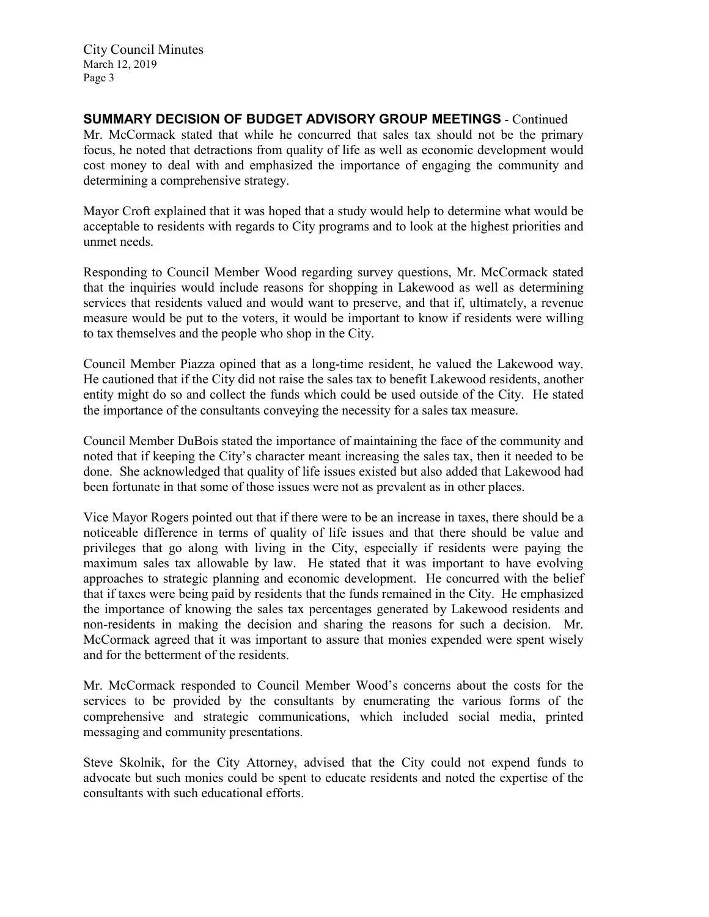**SUMMARY DECISION OF BUDGET ADVISORY GROUP MEETINGS** - Continued Mr. McCormack stated that while he concurred that sales tax should not be the primary focus, he noted that detractions from quality of life as well as economic development would cost money to deal with and emphasized the importance of engaging the community and determining a comprehensive strategy.

Mayor Croft explained that it was hoped that a study would help to determine what would be acceptable to residents with regards to City programs and to look at the highest priorities and unmet needs.

Responding to Council Member Wood regarding survey questions, Mr. McCormack stated that the inquiries would include reasons for shopping in Lakewood as well as determining services that residents valued and would want to preserve, and that if, ultimately, a revenue measure would be put to the voters, it would be important to know if residents were willing to tax themselves and the people who shop in the City.

Council Member Piazza opined that as a long-time resident, he valued the Lakewood way. He cautioned that if the City did not raise the sales tax to benefit Lakewood residents, another entity might do so and collect the funds which could be used outside of the City. He stated the importance of the consultants conveying the necessity for a sales tax measure.

Council Member DuBois stated the importance of maintaining the face of the community and noted that if keeping the City's character meant increasing the sales tax, then it needed to be done. She acknowledged that quality of life issues existed but also added that Lakewood had been fortunate in that some of those issues were not as prevalent as in other places.

Vice Mayor Rogers pointed out that if there were to be an increase in taxes, there should be a noticeable difference in terms of quality of life issues and that there should be value and privileges that go along with living in the City, especially if residents were paying the maximum sales tax allowable by law. He stated that it was important to have evolving approaches to strategic planning and economic development. He concurred with the belief that if taxes were being paid by residents that the funds remained in the City. He emphasized the importance of knowing the sales tax percentages generated by Lakewood residents and non-residents in making the decision and sharing the reasons for such a decision. Mr. McCormack agreed that it was important to assure that monies expended were spent wisely and for the betterment of the residents.

Mr. McCormack responded to Council Member Wood's concerns about the costs for the services to be provided by the consultants by enumerating the various forms of the comprehensive and strategic communications, which included social media, printed messaging and community presentations.

Steve Skolnik, for the City Attorney, advised that the City could not expend funds to advocate but such monies could be spent to educate residents and noted the expertise of the consultants with such educational efforts.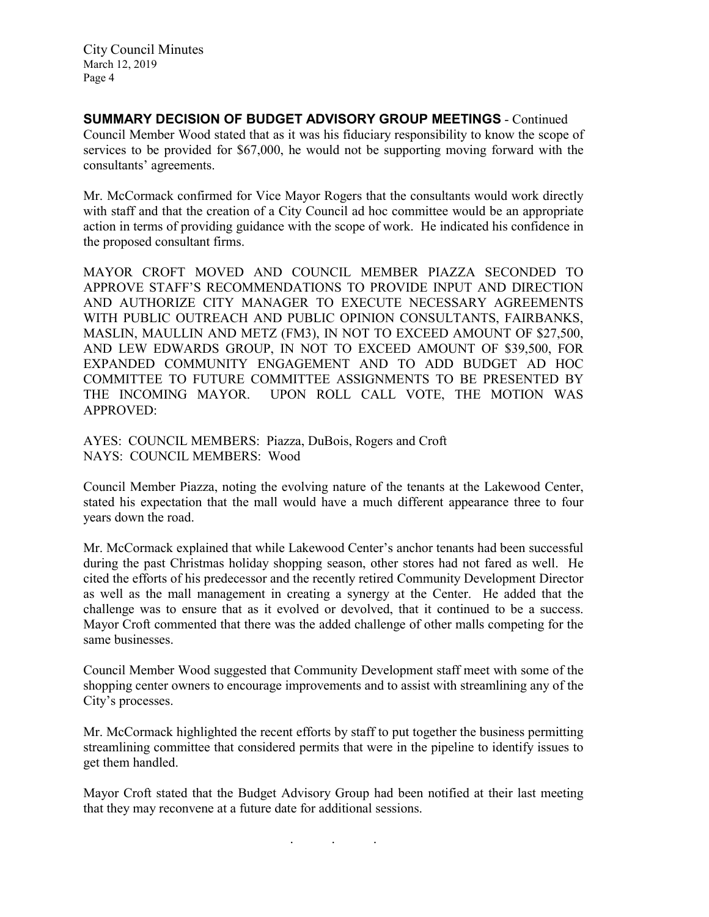**SUMMARY DECISION OF BUDGET ADVISORY GROUP MEETINGS** - Continued Council Member Wood stated that as it was his fiduciary responsibility to know the scope of services to be provided for \$67,000, he would not be supporting moving forward with the consultants' agreements.

Mr. McCormack confirmed for Vice Mayor Rogers that the consultants would work directly with staff and that the creation of a City Council ad hoc committee would be an appropriate action in terms of providing guidance with the scope of work. He indicated his confidence in the proposed consultant firms.

MAYOR CROFT MOVED AND COUNCIL MEMBER PIAZZA SECONDED TO APPROVE STAFF'S RECOMMENDATIONS TO PROVIDE INPUT AND DIRECTION AND AUTHORIZE CITY MANAGER TO EXECUTE NECESSARY AGREEMENTS WITH PUBLIC OUTREACH AND PUBLIC OPINION CONSULTANTS, FAIRBANKS, MASLIN, MAULLIN AND METZ (FM3), IN NOT TO EXCEED AMOUNT OF \$27,500, AND LEW EDWARDS GROUP, IN NOT TO EXCEED AMOUNT OF \$39,500, FOR EXPANDED COMMUNITY ENGAGEMENT AND TO ADD BUDGET AD HOC COMMITTEE TO FUTURE COMMITTEE ASSIGNMENTS TO BE PRESENTED BY THE INCOMING MAYOR. UPON ROLL CALL VOTE, THE MOTION WAS APPROVED:

AYES: COUNCIL MEMBERS: Piazza, DuBois, Rogers and Croft NAYS: COUNCIL MEMBERS: Wood

Council Member Piazza, noting the evolving nature of the tenants at the Lakewood Center, stated his expectation that the mall would have a much different appearance three to four years down the road.

Mr. McCormack explained that while Lakewood Center's anchor tenants had been successful during the past Christmas holiday shopping season, other stores had not fared as well. He cited the efforts of his predecessor and the recently retired Community Development Director as well as the mall management in creating a synergy at the Center. He added that the challenge was to ensure that as it evolved or devolved, that it continued to be a success. Mayor Croft commented that there was the added challenge of other malls competing for the same businesses.

Council Member Wood suggested that Community Development staff meet with some of the shopping center owners to encourage improvements and to assist with streamlining any of the City's processes.

Mr. McCormack highlighted the recent efforts by staff to put together the business permitting streamlining committee that considered permits that were in the pipeline to identify issues to get them handled.

Mayor Croft stated that the Budget Advisory Group had been notified at their last meeting that they may reconvene at a future date for additional sessions.

. . .